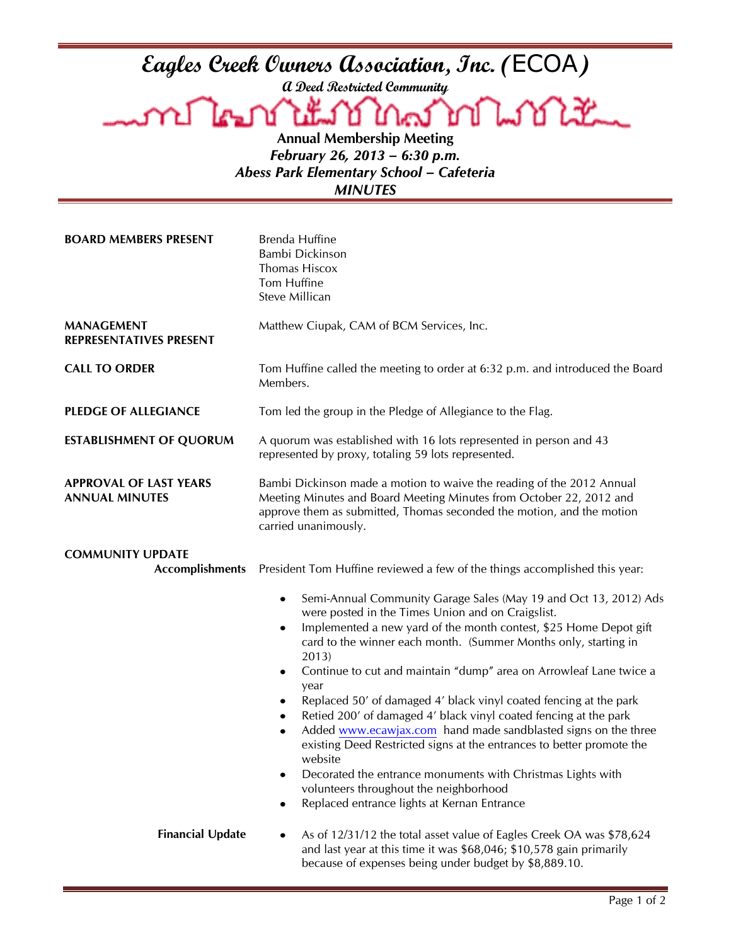**Eagles Creek Owners Association, Inc. (**ECOA**)**

**A Deed Restricted Community**

Lookt **Annual Membership Meeting**

*February 26, 2013 – 6:30 p.m. Abess Park Elementary School – Cafeteria MINUTES*

| <b>BOARD MEMBERS PRESENT</b>                           | <b>Brenda Huffine</b><br>Bambi Dickinson<br>Thomas Hiscox<br>Tom Huffine<br>Steve Millican                                                                                                                                                                                                                                                                                                                                                                                                                                                                                                                                                                                                                                                                                                                                                                                |
|--------------------------------------------------------|---------------------------------------------------------------------------------------------------------------------------------------------------------------------------------------------------------------------------------------------------------------------------------------------------------------------------------------------------------------------------------------------------------------------------------------------------------------------------------------------------------------------------------------------------------------------------------------------------------------------------------------------------------------------------------------------------------------------------------------------------------------------------------------------------------------------------------------------------------------------------|
| <b>MANAGEMENT</b><br><b>REPRESENTATIVES PRESENT</b>    | Matthew Ciupak, CAM of BCM Services, Inc.                                                                                                                                                                                                                                                                                                                                                                                                                                                                                                                                                                                                                                                                                                                                                                                                                                 |
| <b>CALL TO ORDER</b>                                   | Tom Huffine called the meeting to order at 6:32 p.m. and introduced the Board<br>Members.                                                                                                                                                                                                                                                                                                                                                                                                                                                                                                                                                                                                                                                                                                                                                                                 |
| <b>PLEDGE OF ALLEGIANCE</b>                            | Tom led the group in the Pledge of Allegiance to the Flag.                                                                                                                                                                                                                                                                                                                                                                                                                                                                                                                                                                                                                                                                                                                                                                                                                |
| <b>ESTABLISHMENT OF QUORUM</b>                         | A quorum was established with 16 lots represented in person and 43<br>represented by proxy, totaling 59 lots represented.                                                                                                                                                                                                                                                                                                                                                                                                                                                                                                                                                                                                                                                                                                                                                 |
| <b>APPROVAL OF LAST YEARS</b><br><b>ANNUAL MINUTES</b> | Bambi Dickinson made a motion to waive the reading of the 2012 Annual<br>Meeting Minutes and Board Meeting Minutes from October 22, 2012 and<br>approve them as submitted, Thomas seconded the motion, and the motion<br>carried unanimously.                                                                                                                                                                                                                                                                                                                                                                                                                                                                                                                                                                                                                             |
| <b>COMMUNITY UPDATE</b><br><b>Accomplishments</b>      | President Tom Huffine reviewed a few of the things accomplished this year:                                                                                                                                                                                                                                                                                                                                                                                                                                                                                                                                                                                                                                                                                                                                                                                                |
|                                                        | Semi-Annual Community Garage Sales (May 19 and Oct 13, 2012) Ads<br>٠<br>were posted in the Times Union and on Craigslist.<br>Implemented a new yard of the month contest, \$25 Home Depot gift<br>card to the winner each month. (Summer Months only, starting in<br>2013)<br>Continue to cut and maintain "dump" area on Arrowleaf Lane twice a<br>$\bullet$<br>year<br>Replaced 50' of damaged 4' black vinyl coated fencing at the park<br>٠<br>Retied 200' of damaged 4' black vinyl coated fencing at the park<br>$\bullet$<br>Added www.ecawjax.com hand made sandblasted signs on the three<br>$\bullet$<br>existing Deed Restricted signs at the entrances to better promote the<br>website<br>Decorated the entrance monuments with Christmas Lights with<br>volunteers throughout the neighborhood<br>Replaced entrance lights at Kernan Entrance<br>$\bullet$ |
| <b>Financial Update</b>                                | As of 12/31/12 the total asset value of Eagles Creek OA was \$78,624<br>٠<br>and last year at this time it was \$68,046; \$10,578 gain primarily<br>because of expenses being under budget by \$8,889.10.                                                                                                                                                                                                                                                                                                                                                                                                                                                                                                                                                                                                                                                                 |